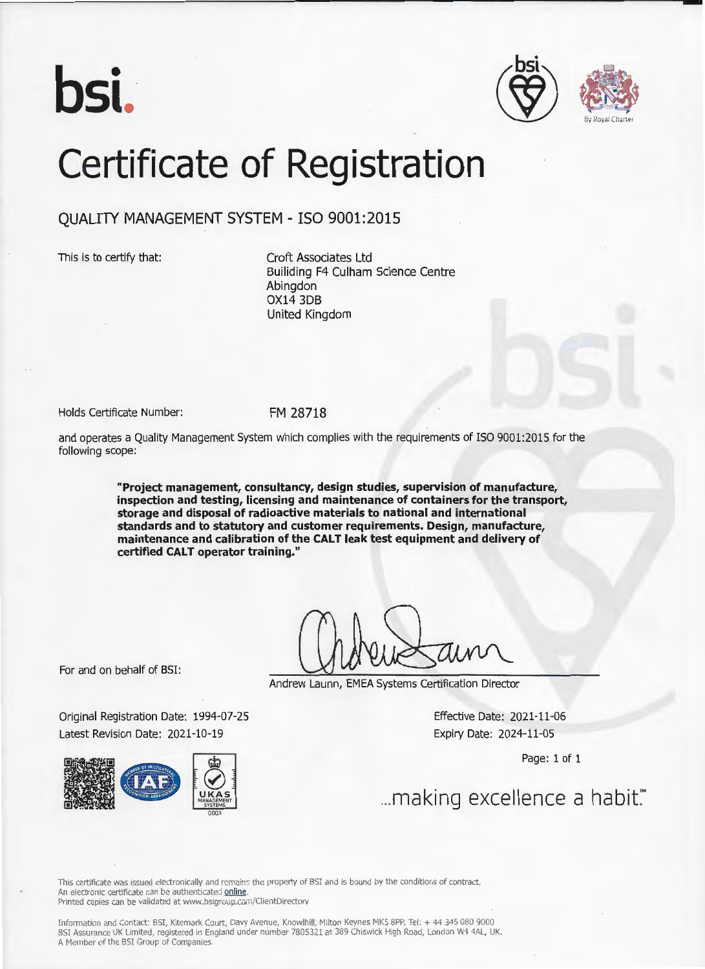





## Certificate of Registration

## QUALITY MANAGEMENT SYSTEM - ISO 9001:2015

This is to certify that:

Croft Associates Ltd Builiding F4 Culham Science Centre **Abinadon** OX14 3D8 United Kingdom

Holds Certificate Number:

FM 28718

and operates a Quality Management System which complies with the requirements of ISO 9001:2015 for the following scope:

> **"Project management, consultancy, design studies, supervision of manufacture, inspection and testing, licensing and maintenance of containers for the transport, storage and disposal of radioactive materials to national and international standards and to statutory and customer requirements. Design, manufacture,**  maintenance and calibration of the CALT leak test equipment and delivery of **certified CALT operator training."**

For and on behalf of BSI:

Original Registration Date: 1994-07-25 Latest Revision Date: 2021-10-19



Andrew Launn, EMEA Systems Certification Director

Effective Date: 2021-11-06 Expiry Date: 2024-11-05

Page: 1 of 1

... making excellence a habit."

This certificate was issued electronically and remains the property of BSI and is bound by the conditions of contract. An electronic certificate can be authenticated online.

Printed copies can be validated at www.bsigroup.com/ClientDirectory

Information and Contact: BSI, Kitemark Court, Davy Avenue, Knowlhill, Milton Keynes MKS SPP. Tel: + 44 345 080 9000 BSI Assurance UK Limited, registered in England under number 7805321 at 389 Chiswick High Road, London W4 4AL, UK. A Member of the BSI Group of Companies.